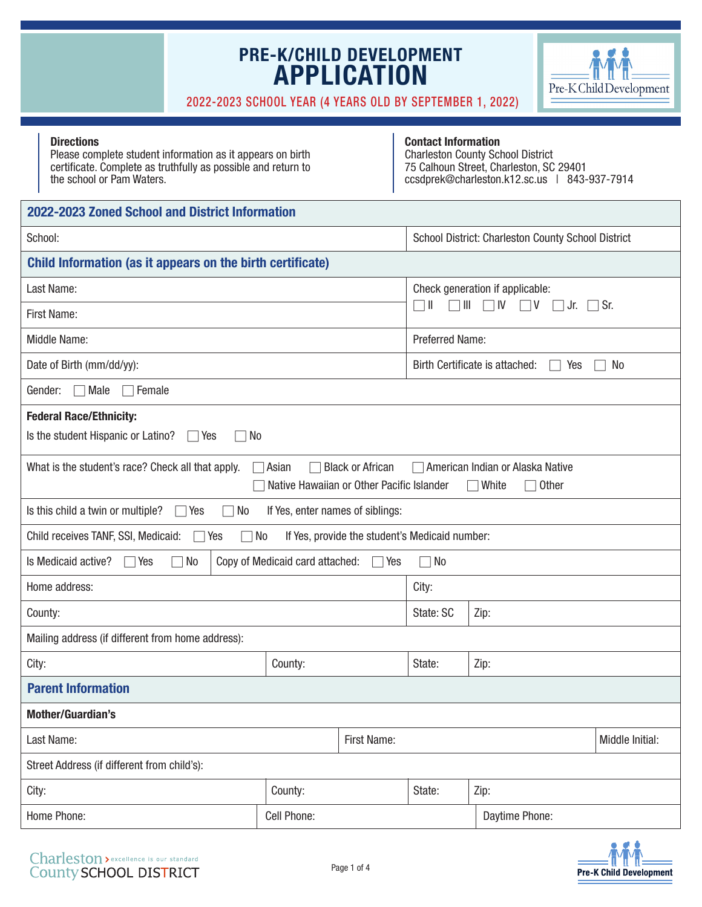

#### 2022-2023 SCHOOL YEAR (4 YEARS OLD BY SEPTEMBER 1, 2022)

|                                                                                                                                                                                                                  | <b>Directions</b><br>Please complete student information as it appears on birth<br>certificate. Complete as truthfully as possible and return to<br>the school or Pam Waters. |                                  |             | <b>Contact Information</b>                  | <b>Charleston County School District</b><br>75 Calhoun Street, Charleston, SC 29401<br>ccsdprek@charleston.k12.sc.us   843-937-7914 |  |  |
|------------------------------------------------------------------------------------------------------------------------------------------------------------------------------------------------------------------|-------------------------------------------------------------------------------------------------------------------------------------------------------------------------------|----------------------------------|-------------|---------------------------------------------|-------------------------------------------------------------------------------------------------------------------------------------|--|--|
|                                                                                                                                                                                                                  | 2022-2023 Zoned School and District Information                                                                                                                               |                                  |             |                                             |                                                                                                                                     |  |  |
|                                                                                                                                                                                                                  | School:                                                                                                                                                                       |                                  |             |                                             | School District: Charleston County School District                                                                                  |  |  |
|                                                                                                                                                                                                                  | Child Information (as it appears on the birth certificate)                                                                                                                    |                                  |             |                                             |                                                                                                                                     |  |  |
|                                                                                                                                                                                                                  | Last Name:                                                                                                                                                                    |                                  |             |                                             | Check generation if applicable:                                                                                                     |  |  |
|                                                                                                                                                                                                                  | First Name:                                                                                                                                                                   |                                  |             | $\Box$                                      | $\Box$ III $\Box$ IV $\Box$ V $\Box$ Jr. $\Box$ Sr.                                                                                 |  |  |
|                                                                                                                                                                                                                  | Middle Name:                                                                                                                                                                  |                                  |             | <b>Preferred Name:</b>                      |                                                                                                                                     |  |  |
|                                                                                                                                                                                                                  | Date of Birth (mm/dd/yy):                                                                                                                                                     |                                  |             | Birth Certificate is attached:<br>No<br>Yes |                                                                                                                                     |  |  |
|                                                                                                                                                                                                                  | Gender:<br>Male<br>∏Female                                                                                                                                                    |                                  |             |                                             |                                                                                                                                     |  |  |
| <b>Federal Race/Ethnicity:</b><br>Is the student Hispanic or Latino?<br>  No<br>Yes                                                                                                                              |                                                                                                                                                                               |                                  |             |                                             |                                                                                                                                     |  |  |
| What is the student's race? Check all that apply.<br>Asian<br><b>Black or African</b><br>American Indian or Alaska Native<br>Native Hawaiian or Other Pacific Islander<br><b>Other</b><br>$\Box$ White<br>$\Box$ |                                                                                                                                                                               |                                  |             |                                             |                                                                                                                                     |  |  |
|                                                                                                                                                                                                                  | Is this child a twin or multiple?<br>No<br>$\Box$ Yes<br>$\mathbf{I}$                                                                                                         | If Yes, enter names of siblings: |             |                                             |                                                                                                                                     |  |  |
| Child receives TANF, SSI, Medicaid:<br>∏No<br>If Yes, provide the student's Medicaid number:<br>Yes                                                                                                              |                                                                                                                                                                               |                                  |             |                                             |                                                                                                                                     |  |  |
|                                                                                                                                                                                                                  | Is Medicaid active?<br>$\Box$ No<br>$\Box$ Yes                                                                                                                                | Copy of Medicaid card attached:  | □ Yes       | $\neg$ No                                   |                                                                                                                                     |  |  |
| Home address:                                                                                                                                                                                                    |                                                                                                                                                                               |                                  |             | City:                                       |                                                                                                                                     |  |  |
|                                                                                                                                                                                                                  | County:                                                                                                                                                                       |                                  |             |                                             | Zip:                                                                                                                                |  |  |
|                                                                                                                                                                                                                  | Mailing address (if different from home address):                                                                                                                             |                                  |             |                                             |                                                                                                                                     |  |  |
| City:                                                                                                                                                                                                            |                                                                                                                                                                               | County:                          |             |                                             | Zip:                                                                                                                                |  |  |
|                                                                                                                                                                                                                  | <b>Parent Information</b>                                                                                                                                                     |                                  |             |                                             |                                                                                                                                     |  |  |
|                                                                                                                                                                                                                  | <b>Mother/Guardian's</b>                                                                                                                                                      |                                  |             |                                             |                                                                                                                                     |  |  |
|                                                                                                                                                                                                                  | Last Name:                                                                                                                                                                    |                                  | First Name: |                                             | Middle Initial:                                                                                                                     |  |  |
|                                                                                                                                                                                                                  | Street Address (if different from child's):                                                                                                                                   |                                  |             |                                             |                                                                                                                                     |  |  |
| City:                                                                                                                                                                                                            |                                                                                                                                                                               | County:                          |             |                                             | Zip:                                                                                                                                |  |  |
| Cell Phone:<br>Home Phone:                                                                                                                                                                                       |                                                                                                                                                                               |                                  |             | Daytime Phone:                              |                                                                                                                                     |  |  |

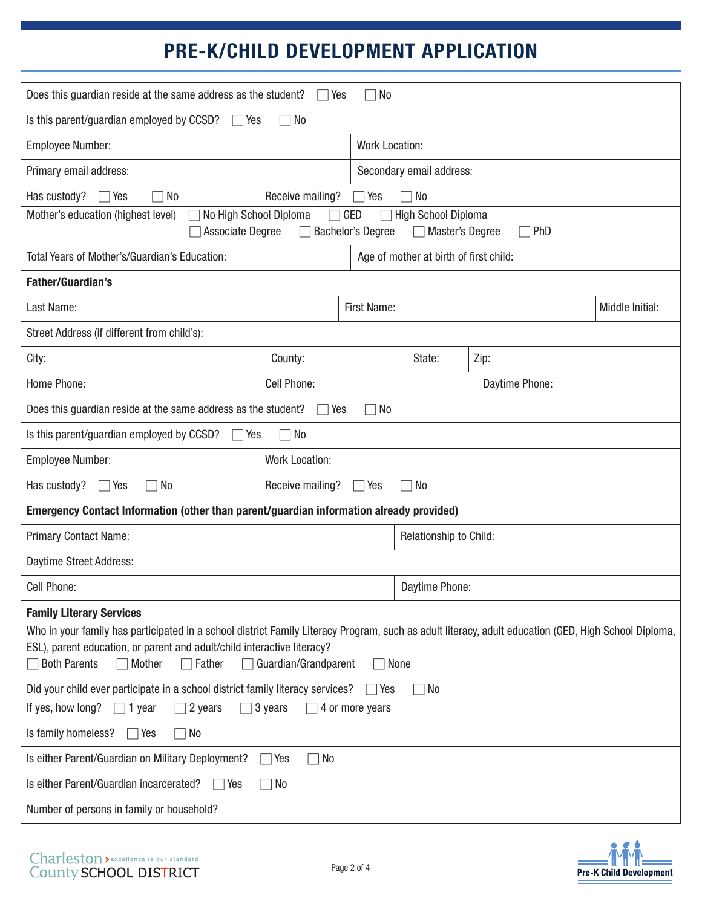| Does this guardian reside at the same address as the student?<br><b>No</b><br>Yes                                                                                                                                                                                                                                                             |                  |                       |                                        |                |                 |  |  |
|-----------------------------------------------------------------------------------------------------------------------------------------------------------------------------------------------------------------------------------------------------------------------------------------------------------------------------------------------|------------------|-----------------------|----------------------------------------|----------------|-----------------|--|--|
| Is this parent/guardian employed by CCSD?<br>No<br>Yes                                                                                                                                                                                                                                                                                        |                  |                       |                                        |                |                 |  |  |
| <b>Employee Number:</b>                                                                                                                                                                                                                                                                                                                       |                  | <b>Work Location:</b> |                                        |                |                 |  |  |
| Primary email address:                                                                                                                                                                                                                                                                                                                        |                  |                       | Secondary email address:               |                |                 |  |  |
| Has custody?<br>No<br>Yes                                                                                                                                                                                                                                                                                                                     | Receive mailing? | Yes                   | 7 No                                   |                |                 |  |  |
| Mother's education (highest level)<br>No High School Diploma<br>GED<br><b>High School Diploma</b><br><b>Bachelor's Degree</b><br><b>Associate Degree</b><br>Master's Degree<br>$\sqcap$ PhD                                                                                                                                                   |                  |                       |                                        |                |                 |  |  |
| Total Years of Mother's/Guardian's Education:                                                                                                                                                                                                                                                                                                 |                  |                       | Age of mother at birth of first child: |                |                 |  |  |
| <b>Father/Guardian's</b>                                                                                                                                                                                                                                                                                                                      |                  |                       |                                        |                |                 |  |  |
| Last Name:                                                                                                                                                                                                                                                                                                                                    | First Name:      |                       |                                        |                | Middle Initial: |  |  |
| Street Address (if different from child's):                                                                                                                                                                                                                                                                                                   |                  |                       |                                        |                |                 |  |  |
| City:                                                                                                                                                                                                                                                                                                                                         | County:          |                       | State:                                 | Zip:           |                 |  |  |
| Home Phone:                                                                                                                                                                                                                                                                                                                                   | Cell Phone:      |                       |                                        | Daytime Phone: |                 |  |  |
| Does this guardian reside at the same address as the student?<br>No<br>Yes                                                                                                                                                                                                                                                                    |                  |                       |                                        |                |                 |  |  |
| Is this parent/guardian employed by CCSD?<br>No<br>Yes                                                                                                                                                                                                                                                                                        |                  |                       |                                        |                |                 |  |  |
| <b>Employee Number:</b><br>Work Location:                                                                                                                                                                                                                                                                                                     |                  |                       |                                        |                |                 |  |  |
| Has custody?<br>$\Box$ Yes<br>$\Box$ No<br>Receive mailing?<br>$\Box$ Yes<br>$\Box$ No                                                                                                                                                                                                                                                        |                  |                       |                                        |                |                 |  |  |
| Emergency Contact Information (other than parent/guardian information already provided)                                                                                                                                                                                                                                                       |                  |                       |                                        |                |                 |  |  |
| Primary Contact Name:                                                                                                                                                                                                                                                                                                                         |                  |                       | Relationship to Child:                 |                |                 |  |  |
| Daytime Street Address:                                                                                                                                                                                                                                                                                                                       |                  |                       |                                        |                |                 |  |  |
| Cell Phone:                                                                                                                                                                                                                                                                                                                                   |                  |                       | Daytime Phone:                         |                |                 |  |  |
| <b>Family Literary Services</b><br>Who in your family has participated in a school district Family Literacy Program, such as adult literacy, adult education (GED, High School Diploma,<br>ESL), parent education, or parent and adult/child interactive literacy?<br><b>Both Parents</b><br>Guardian/Grandparent<br>Mother<br>Father<br>None |                  |                       |                                        |                |                 |  |  |
| Did your child ever participate in a school district family literacy services?<br>$\sqcap$ No<br>Yes<br>If yes, how long?<br>2 years<br>3 years<br>4 or more years<br>71 year                                                                                                                                                                 |                  |                       |                                        |                |                 |  |  |
| Is family homeless?<br>Yes<br>  No                                                                                                                                                                                                                                                                                                            |                  |                       |                                        |                |                 |  |  |
| Is either Parent/Guardian on Military Deployment?<br>$\neg$ No<br>$\bigcap$ Yes                                                                                                                                                                                                                                                               |                  |                       |                                        |                |                 |  |  |
| Is either Parent/Guardian incarcerated?<br>No<br>Yes                                                                                                                                                                                                                                                                                          |                  |                       |                                        |                |                 |  |  |
| Number of persons in family or household?                                                                                                                                                                                                                                                                                                     |                  |                       |                                        |                |                 |  |  |
|                                                                                                                                                                                                                                                                                                                                               |                  |                       |                                        |                |                 |  |  |

Page 2 of 4

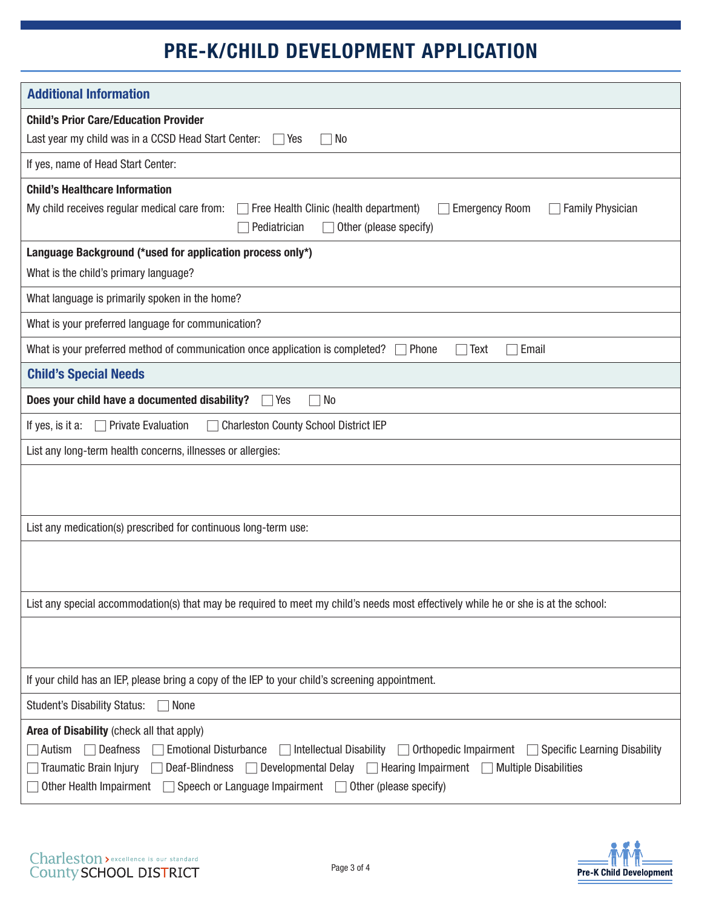| <b>Additional Information</b>                                                                                                                                                                 |  |  |  |  |  |
|-----------------------------------------------------------------------------------------------------------------------------------------------------------------------------------------------|--|--|--|--|--|
| <b>Child's Prior Care/Education Provider</b>                                                                                                                                                  |  |  |  |  |  |
| Last year my child was in a CCSD Head Start Center:<br>No<br>$\Box$ Yes                                                                                                                       |  |  |  |  |  |
| If yes, name of Head Start Center:                                                                                                                                                            |  |  |  |  |  |
| <b>Child's Healthcare Information</b>                                                                                                                                                         |  |  |  |  |  |
| My child receives regular medical care from:<br><b>Emergency Room</b><br>$\sqcap$ Free Health Clinic (health department)<br><b>Family Physician</b><br>Pediatrician<br>Other (please specify) |  |  |  |  |  |
| Language Background (*used for application process only*)                                                                                                                                     |  |  |  |  |  |
| What is the child's primary language?                                                                                                                                                         |  |  |  |  |  |
| What language is primarily spoken in the home?                                                                                                                                                |  |  |  |  |  |
| What is your preferred language for communication?                                                                                                                                            |  |  |  |  |  |
| What is your preferred method of communication once application is completed?<br>$\Box$ Phone<br>Text<br>Email                                                                                |  |  |  |  |  |
| <b>Child's Special Needs</b>                                                                                                                                                                  |  |  |  |  |  |
| Does your child have a documented disability?<br>$\Box$ No<br>$\Box$ Yes                                                                                                                      |  |  |  |  |  |
| <b>Charleston County School District IEP</b><br><b>Private Evaluation</b><br>If yes, is it a:                                                                                                 |  |  |  |  |  |
| List any long-term health concerns, illnesses or allergies:                                                                                                                                   |  |  |  |  |  |
|                                                                                                                                                                                               |  |  |  |  |  |
|                                                                                                                                                                                               |  |  |  |  |  |
| List any medication(s) prescribed for continuous long-term use:                                                                                                                               |  |  |  |  |  |
|                                                                                                                                                                                               |  |  |  |  |  |
|                                                                                                                                                                                               |  |  |  |  |  |
| List any special accommodation(s) that may be required to meet my child's needs most effectively while he or she is at the school:                                                            |  |  |  |  |  |
|                                                                                                                                                                                               |  |  |  |  |  |
|                                                                                                                                                                                               |  |  |  |  |  |
| If your child has an IEP, please bring a copy of the IEP to your child's screening appointment.                                                                                               |  |  |  |  |  |
| <b>Student's Disability Status:</b><br>None                                                                                                                                                   |  |  |  |  |  |
| Area of Disability (check all that apply)                                                                                                                                                     |  |  |  |  |  |
| <b>Deafness</b><br><b>Emotional Disturbance</b><br>$\Box$ Intellectual Disability $\Box$ Orthopedic Impairment $\Box$ Specific Learning Disability<br>Autism                                  |  |  |  |  |  |
| Traumatic Brain Injury<br>Deaf-Blindness Developmental Delay Dearing Impairment D Multiple Disabilities                                                                                       |  |  |  |  |  |
| Other Health Impairment<br>$\Box$ Speech or Language Impairment $\Box$ Other (please specify)                                                                                                 |  |  |  |  |  |